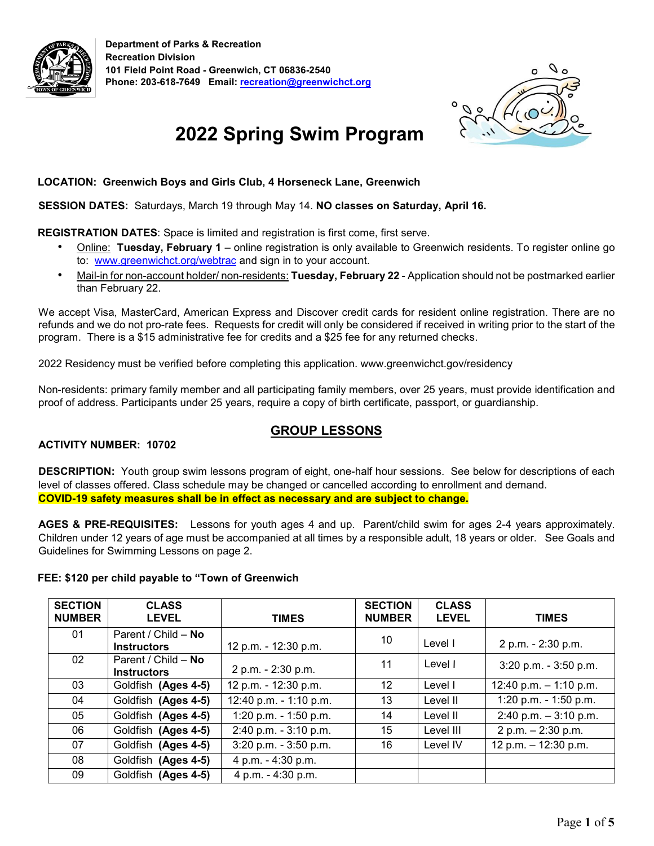



# **2022 Spring Swim Program**

#### **LOCATION: Greenwich Boys and Girls Club, 4 Horseneck Lane, Greenwich**

#### **SESSION DATES:** Saturdays, March 19 through May 14. **NO classes on Saturday, April 16.**

#### **REGISTRATION DATES**: Space is limited and registration is first come, first serve.

- Online: **Tuesday, February 1** online registration is only available to Greenwich residents. To register online go to: [www.greenwichct.org/webtrac](http://www.greenwichct.org/webtrac) [a](http://www.greenwichct.org/webtrac)nd sign in to your account.
- Mail-in for non-account holder/ non-residents: **Tuesday, February 22** Application should not be postmarked earlier than February 22.

We accept Visa, MasterCard, American Express and Discover credit cards for resident online registration. There are no refunds and we do not pro-rate fees. Requests for credit will only be considered if received in writing prior to the start of the program. There is a \$15 administrative fee for credits and a \$25 fee for any returned checks.

2022 Residency must be verified before completing this application. www.greenwichct.gov/residency

Non-residents: primary family member and all participating family members, over 25 years, must provide identification and proof of address. Participants under 25 years, require a copy of birth certificate, passport, or guardianship.

#### **ACTIVITY NUMBER: 10702**

#### **GROUP LESSONS**

**DESCRIPTION:** Youth group swim lessons program of eight, one-half hour sessions. See below for descriptions of each level of classes offered. Class schedule may be changed or cancelled according to enrollment and demand. **COVID-19 safety measures shall be in effect as necessary and are subject to change.**

**AGES & PRE-REQUISITES:** Lessons for youth ages 4 and up. Parent/child swim for ages 2-4 years approximately. Children under 12 years of age must be accompanied at all times by a responsible adult, 18 years or older. See Goals and Guidelines for Swimming Lessons on page 2.

#### **FEE: \$120 per child payable to "Town of Greenwich**

| <b>SECTION</b><br><b>NUMBER</b> | <b>CLASS</b><br><b>LEVEL</b>              | <b>TIMES</b>           | <b>SECTION</b><br><b>NUMBER</b> | <b>CLASS</b><br><b>LEVEL</b> | <b>TIMES</b>             |
|---------------------------------|-------------------------------------------|------------------------|---------------------------------|------------------------------|--------------------------|
| 01                              | Parent / Child - No<br><b>Instructors</b> | 12 p.m. - 12:30 p.m.   | 10                              | Level I                      | 2 p.m. - 2:30 p.m.       |
| 02                              | Parent / Child - No<br><b>Instructors</b> | 2 p.m. - 2:30 p.m.     | 11                              | Level I                      | 3:20 p.m. - 3:50 p.m.    |
| 03                              | Goldfish (Ages 4-5)                       | 12 p.m. - 12:30 p.m.   | 12                              | Level I                      | 12:40 p.m. $-$ 1:10 p.m. |
| 04                              | Goldfish (Ages 4-5)                       | 12:40 p.m. - 1:10 p.m. | 13                              | Level II                     | 1:20 p.m. - 1:50 p.m.    |
| 05                              | Goldfish (Ages 4-5)                       | 1:20 p.m. - 1:50 p.m.  | 14                              | Level II                     | $2:40$ p.m. $-3:10$ p.m. |
| 06                              | Goldfish (Ages 4-5)                       | 2:40 p.m. - 3:10 p.m.  | 15                              | Level III                    | 2 p.m. $- 2:30$ p.m.     |
| 07                              | Goldfish (Ages 4-5)                       | 3:20 p.m. - 3:50 p.m.  | 16                              | Level IV                     | 12 p.m. - 12:30 p.m.     |
| 08                              | Goldfish (Ages 4-5)                       | 4 p.m. - 4:30 p.m.     |                                 |                              |                          |
| 09                              | Goldfish (Ages 4-5)                       | 4 p.m. - 4:30 p.m.     |                                 |                              |                          |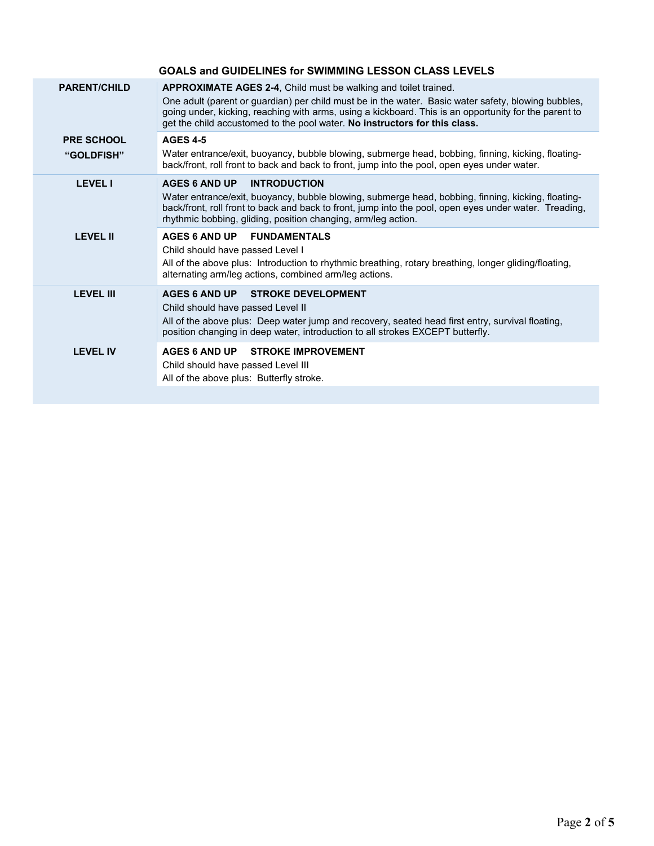|                                 | <b>GOALS and GUIDELINES for SWIMMING LESSON CLASS LEVELS</b>                                                                                                                                                                                                                                                                                                  |
|---------------------------------|---------------------------------------------------------------------------------------------------------------------------------------------------------------------------------------------------------------------------------------------------------------------------------------------------------------------------------------------------------------|
| <b>PARENT/CHILD</b>             | APPROXIMATE AGES 2-4, Child must be walking and toilet trained.<br>One adult (parent or guardian) per child must be in the water. Basic water safety, blowing bubbles,<br>going under, kicking, reaching with arms, using a kickboard. This is an opportunity for the parent to<br>get the child accustomed to the pool water. No instructors for this class. |
| <b>PRE SCHOOL</b><br>"GOLDFISH" | <b>AGES 4-5</b><br>Water entrance/exit, buoyancy, bubble blowing, submerge head, bobbing, finning, kicking, floating-<br>back/front, roll front to back and back to front, jump into the pool, open eyes under water.                                                                                                                                         |
| <b>LEVEL I</b>                  | <b>AGES 6 AND UP</b><br><b>INTRODUCTION</b><br>Water entrance/exit, buoyancy, bubble blowing, submerge head, bobbing, finning, kicking, floating-<br>back/front, roll front to back and back to front, jump into the pool, open eyes under water. Treading,<br>rhythmic bobbing, gliding, position changing, arm/leg action.                                  |
| <b>LEVEL II</b>                 | AGES 6 AND UP FUNDAMENTALS<br>Child should have passed Level I<br>All of the above plus: Introduction to rhythmic breathing, rotary breathing, longer gliding/floating,<br>alternating arm/leg actions, combined arm/leg actions.                                                                                                                             |
| <b>LEVEL III</b>                | AGES 6 AND UP STROKE DEVELOPMENT<br>Child should have passed Level II<br>All of the above plus: Deep water jump and recovery, seated head first entry, survival floating,<br>position changing in deep water, introduction to all strokes EXCEPT butterfly.                                                                                                   |
| <b>LEVEL IV</b>                 | AGES 6 AND UP STROKE IMPROVEMENT<br>Child should have passed Level III<br>All of the above plus: Butterfly stroke.                                                                                                                                                                                                                                            |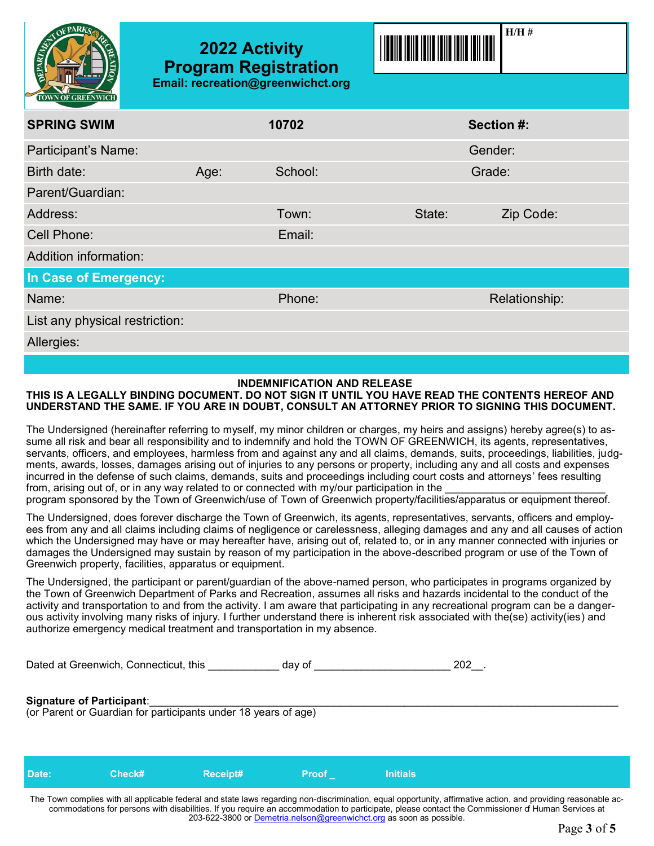

## **2022 Activity Program Registration Email: recreation@greenwichct.org**



| $\sim$<br><b>TOWN OF GREENWICH</b> |      |         |                     |
|------------------------------------|------|---------|---------------------|
| <b>SPRING SWIM</b>                 |      | 10702   | Section #:          |
| Participant's Name:                |      |         | Gender:             |
| Birth date:                        | Age: | School: | Grade:              |
| Parent/Guardian:                   |      |         |                     |
| Address:                           |      | Town:   | State:<br>Zip Code: |
| <b>Cell Phone:</b>                 |      | Email:  |                     |
| Addition information:              |      |         |                     |
| In Case of Emergency:              |      |         |                     |
| Name:                              |      | Phone:  | Relationship:       |
| List any physical restriction:     |      |         |                     |
| Allergies:                         |      |         |                     |

#### **INDEMNIFICATION AND RELEASE**

#### **THIS IS A LEGALLY BINDING DOCUMENT. DO NOT SIGN IT UNTIL YOU HAVE READ THE CONTENTS HEREOF AND UNDERSTAND THE SAME. IF YOU ARE IN DOUBT, CONSULT AN ATTORNEY PRIOR TO SIGNING THIS DOCUMENT.**

The Undersigned (hereinafter referring to myself, my minor children or charges, my heirs and assigns) hereby agree(s) to assume all risk and bear all responsibility and to indemnify and hold the TOWN OF GREENWICH, its agents, representatives, servants, officers, and employees, harmless from and against any and all claims, demands, suits, proceedings, liabilities, judgments, awards, losses, damages arising out of injuries to any persons or property, including any and all costs and expenses incurred in the defense of such claims, demands, suits and proceedings including court costs and attorneys' fees resulting from, arising out of, or in any way related to or connected with my/our participation in the program sponsored by the Town of Greenwich/use of Town of Greenwich property/facilities/apparatus or equipment thereof.

The Undersigned, does forever discharge the Town of Greenwich, its agents, representatives, servants, officers and employees from any and all claims including claims of negligence or carelessness, alleging damages and any and all causes of action which the Undersigned may have or may hereafter have, arising out of, related to, or in any manner connected with injuries or damages the Undersigned may sustain by reason of my participation in the above-described program or use of the Town of Greenwich property, facilities, apparatus or equipment.

The Undersigned, the participant or parent/guardian of the above-named person, who participates in programs organized by the Town of Greenwich Department of Parks and Recreation, assumes all risks and hazards incidental to the conduct of the activity and transportation to and from the activity. I am aware that participating in any recreational program can be a dangerous activity involving many risks of injury. I further understand there is inherent risk associated with the(se) activity(ies) and authorize emergency medical treatment and transportation in my absence.

Dated at Greenwich, Connecticut, this example and day of the same of the same of the same of the same of the s

#### **Signature of Participant:**

(or Parent or Guardian for participants under 18 years of age)

|  | <b>Initials</b> | /Proof | Receipt# | Check# | Date: |
|--|-----------------|--------|----------|--------|-------|
|--|-----------------|--------|----------|--------|-------|

The Town complies with all applicable federal and state laws regarding non-discrimination, equal opportunity, affirmative action, and providing reasonable accommodations for persons with disabilities. If you require an accommodation to participate, please contact the Commissioner of Human Services at 203-622-3800 or [Demetria.nelson@greenwichct.org](mailto:Demetria.nelson@greenwichct.org) as soon as possible.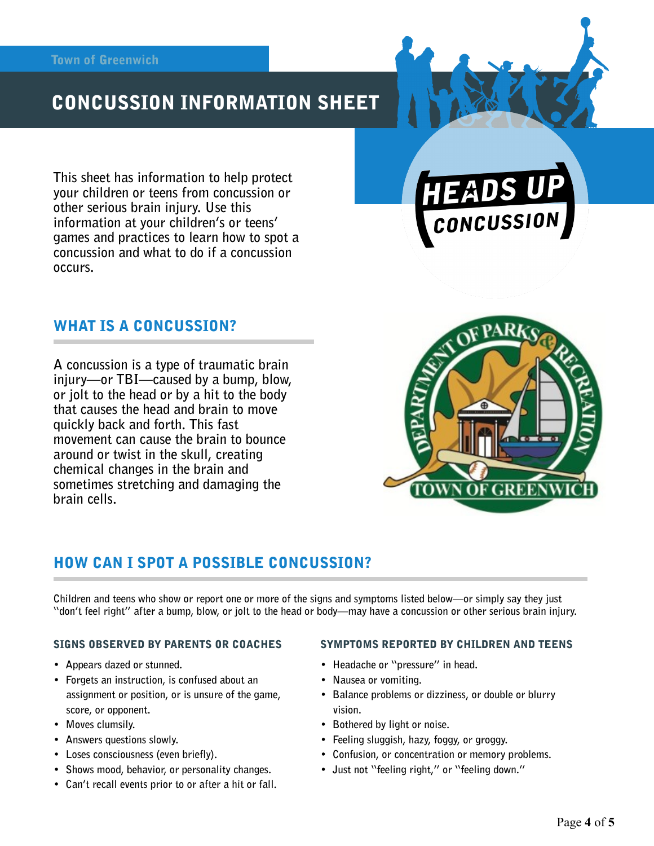# CONCUSSION INFORMATION SHEET

**This sheet has information to help protect your children or teens from concussion or other serious brain injury. Use this information at your children's or teens' games and practices to learn how to spot a concussion and what to do if a concussion occurs.** 

### WHAT IS A CONCUSSION?

**A concussion is a type of traumatic brain injury—or TBI—caused by a bump, blow, or jolt to the head or by a hit to the body that causes the head and brain to move quickly back and forth. This fast movement can cause the brain to bounce around or twist in the skull, creating chemical changes in the brain and sometimes stretching and damaging the brain cells.** 



CONCUSSION

## HOW CAN I SPOT A POSSIBLE CONCUSSION?

**Children and teens who show or report one or more of the signs and symptoms listed below—or simply say they just "don't feel right" after a bump, blow, or jolt to the head or body—may have a concussion or other serious brain injury.** 

#### SIGNS OBSERVED BY PARENTS OR COACHES

- **Appears dazed or stunned.**
- **Forgets an instruction, is confused about an assignment or position, or is unsure of the game, score, or opponent.**
- **Moves clumsily.**
- **Answers questions slowly.**
- **Loses consciousness (even briefly).**
- **Shows mood, behavior, or personality changes.**
- **Can't recall events prior to or after a hit or fall.**

#### SYMPTOMS REPORTED BY CHILDREN AND TEENS

- **Headache or "pressure" in head.**
- **Nausea or vomiting.**
- **Balance problems or dizziness, or double or blurry vision.**
- **Bothered by light or noise.**
- **Feeling sluggish, hazy, foggy, or groggy.**
- **Confusion, or concentration or memory problems.**
- **Just not "feeling right," or "feeling down."**